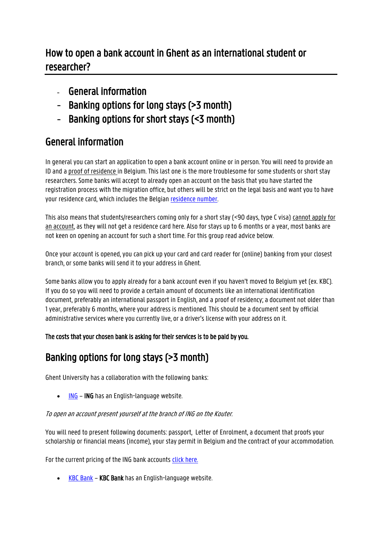# How to open a bank account in Ghent as an international student or researcher?

- General information
- Banking options for long stays (>3 month)
- Banking options for short stays (<3 month)

# General information

In general you can start an application to open a bank account online or in person. You will need to provide an ID and a proof of residence in Belgium. This last one is the more troublesome for some students or short stay researchers. Some banks will accept to already open an account on the basis that you have started the registration process with the migration office, but others will be strict on the legal basis and want you to have your residence card, which includes the Belgian [residence number.](https://www.ugent.be/prospect/en/administration/visa-residence-permit) 

This also means that students/researchers coming only for a short stay (<90 days, type C visa) cannot apply for an account, as they will not get a residence card here. Also for stays up to 6 months or a year, most banks are not keen on opening an account for such a short time. For this group read advice below.

Once your account is opened, you can pick up your card and card reader for (online) banking from your closest branch, or some banks will send it to your address in Ghent.

Some banks allow you to apply already for a bank account even if you haven't moved to Belgium yet (ex. KBC). If you do so you will need to provide a certain amount of documents like an international identification document, preferably an international passport in English, and a proof of residency; a document not older than 1 year, preferably 6 months, where your address is mentioned. This should be a document sent by official administrative services where you currently live, or a driver's license with your address on it.

The costs that your chosen bank is asking for their services is to be paid by you.

# Banking options for long stays (>3 month)

Ghent University has a collaboration with the following banks:

 $\cdot$  [ING](https://www.ing.be/en/retail/) – ING has an English-language website.

### To open an account present yourself at the branch of ING on the Kouter.

You will need to present following documents: passport, Letter of Enrolment, a document that proofs your scholarship or financial means (income), your stay permit in Belgium and the contract of your accommodation.

For the current pricing of the ING bank accounts [click here.](https://www.ing.be/en/retail/daily-banking/current-accounts/charges-and-regulations)

• [KBC Bank](https://www.kbc.be/retail/en/products/payments/current-accounts/basic-account.html) – KBC Bank has an English-language website.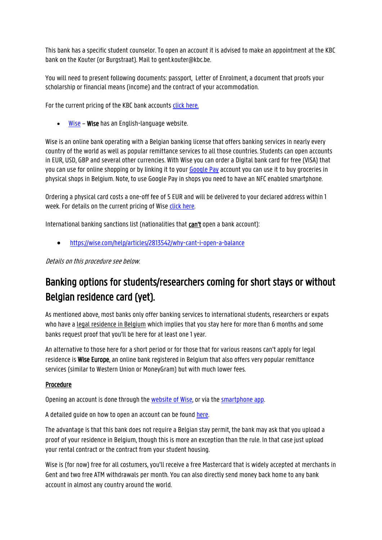This bank has a specific student counselor. To open an account it is advised to make an appointment at the KBC bank on the Kouter (or Burgstraat). Mail to gent.kouter@kbc.be.

You will need to present following documents: passport, Letter of Enrolment, a document that proofs your scholarship or financial means (income) and the contract of your accommodation.

For the current pricing of the KBC bank accounts [click here.](https://www.kbc.be/retail/en/products/payments/current-accounts/compare-current-accounts.html)

• [Wise](https://wise.com/register/) – Wise has an English-language website.

Wise is an online bank operating with a Belgian banking license that offers banking services in nearly every country of the world as well as popular remittance services to all those countries. Students can open accounts in EUR, USD, GBP and several other currencies. With Wise you can order a Digital bank card for free (VISA) that you can use for online shopping or by linking it to your [Google Pay](https://pay.google.com/) account you can use it to buy groceries in physical shops in Belgium. Note, to use Google Pay in shops you need to have an NFC enabled smartphone.

Ordering a physical card costs a one-off fee of 5 EUR and will be delivered to your declared address within 1 week. For details on the current pricing of Wise [click here.](https://wise.com/gb/pricing/card-fees)

International banking sanctions list (nationalities that can't open a bank account):

• <https://wise.com/help/articles/2813542/why-cant-i-open-a-balance>

Details on this procedure see below.

# Banking options for students/researchers coming for short stays or without Belgian residence card (yet).

As mentioned above, most banks only offer banking services to international students, researchers or expats who have a legal residence in Belgium which implies that you stay here for more than 6 months and some banks request proof that you'll be here for at least one 1 year.

An alternative to those here for a short period or for those that for various reasons can't apply for legal residence is Wise Europe, an online bank registered in Belgium that also offers very popular remittance services (similar to Western Union or MoneyGram) but with much lower fees.

#### Procedure

Opening an account is done through th[e website](https://transferwise.com/register/) of Wise, or via th[e smartphone app.](https://transferwise.com/money-transfer-app) 

A detailed guide on how to open an account can be foun[d here.](https://transferwise.com/us/blog/open-bank-account-online)

The advantage is that this bank does not require a Belgian stay permit, the bank may ask that you upload a proof of your residence in Belgium, though this is more an exception than the rule. In that case just upload your rental contract or the contract from your student housing.

Wise is (for now) free for all costumers, you'll receive a free Mastercard that is widely accepted at merchants in Gent and two free ATM withdrawals per month. You can also directly send money back home to any bank account in almost any country around the world.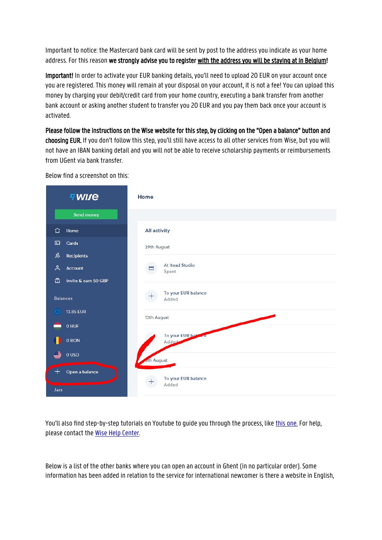Important to notice: the Mastercard bank card will be sent by post to the address you indicate as your home address. For this reason we strongly advise you to register with the address you will be staying at in Belgium!

Important! In order to activate your EUR banking details, you'll need to upload 20 EUR on your account once you are registered. This money will remain at your disposal on your account, it is not a fee! You can upload this money by charging your debit/credit card from your home country, executing a bank transfer from another bank account or asking another student to transfer you 20 EUR and you pay them back once your account is activated.

Please follow the instructions on the Wise website for this step, by clicking on the "Open a balance" button and choosing EUR. If you don't follow this step, you'll still have access to all other services from Wise, but you will not have an IBAN banking detail and you will not be able to receive scholarship payments or reimbursements from UGent via bank transfer.



Below find a screenshot on this:

You'll also find step-by-step tutorials on Youtube to guide you through the process, lik[e this one.](https://www.youtube.com/watch?v=1rftrVU-eO8) For help, please contact the Wise [Help Center.](https://transferwise.com/help/) 

Below is a list of the other banks where you can open an account in Ghent (in no particular order). Some information has been added in relation to the service for international newcomer is there a website in English,